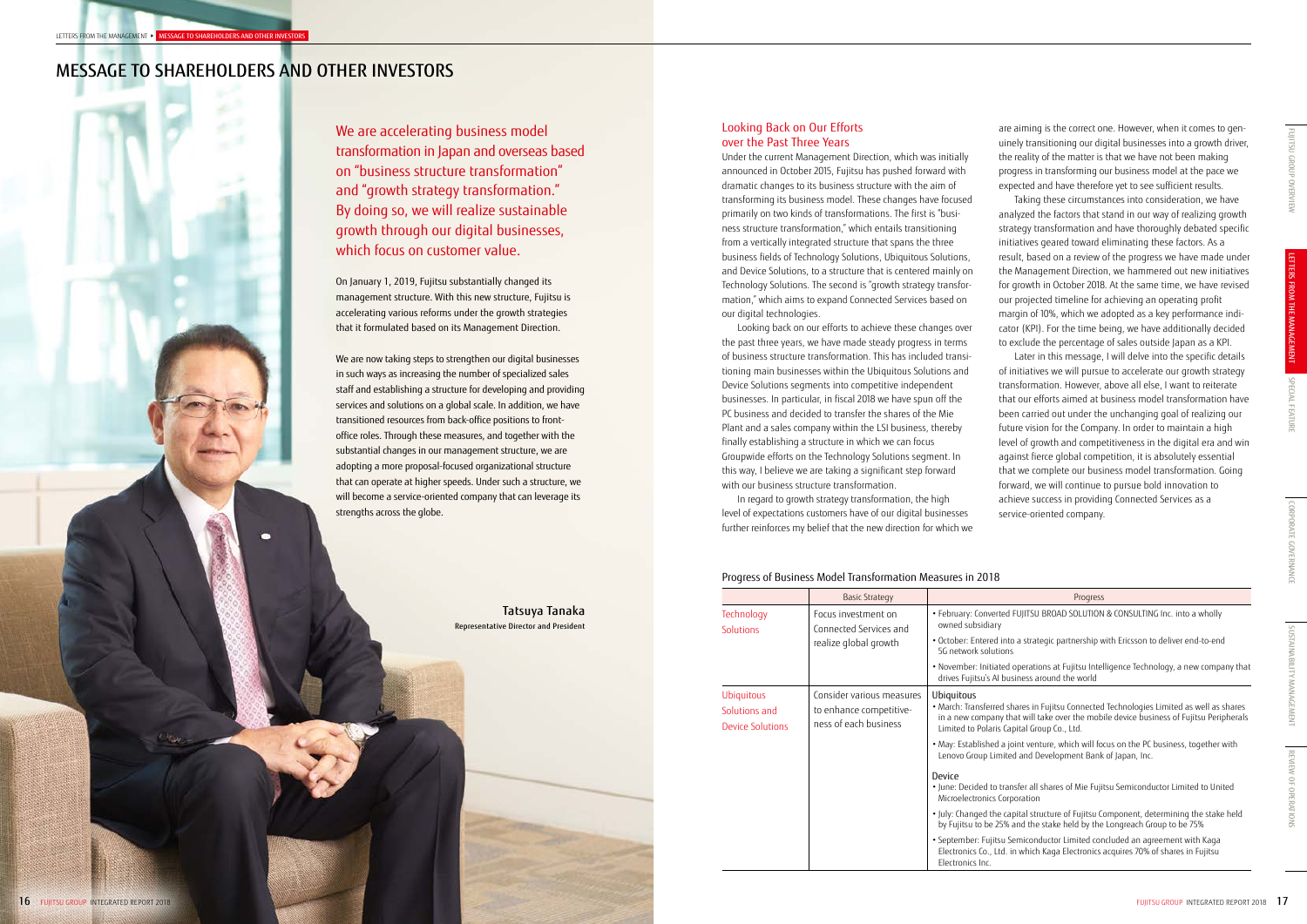On January 1, 2019, Fujitsu substantially changed its management structure. With this new structure, Fujitsu is accelerating various reforms under the growth strategies that it formulated based on its Management Direction.

We are now taking steps to strengthen our digital businesses in such ways as increasing the number of specialized sales staff and establishing a structure for developing and providing services and solutions on a global scale. In addition, we have transitioned resources from back-office positions to frontoffice roles. Through these measures, and together with the substantial changes in our management structure, we are adopting a more proposal-focused organizational structure that can operate at higher speeds. Under such a structure, we will become a service-oriented company that can leverage its strengths across the globe.

We are accelerating business model transformation in Japan and overseas based on "business structure transformation" and "growth strategy transformation." By doing so, we will realize sustainable growth through our digital businesses, which focus on customer value.

# MESSAGE TO SHAREHOLDERS AND OTHER INVESTORS

are aiming is the correct one. However, when it comes to genuinely transitioning our digital businesses into a growth driver, the reality of the matter is that we have not been making progress in transforming our business model at the pace we expected and have therefore yet to see sufficient results.

Taking these circumstances into consideration, we have analyzed the factors that stand in our way of realizing growth strategy transformation and have thoroughly debated specific initiatives geared toward eliminating these factors. As a result, based on a review of the progress we have made under the Management Direction, we hammered out new initiatives for growth in October 2018. At the same time, we have revised our projected timeline for achieving an operating profit margin of 10%, which we adopted as a key performance indicator (KPI). For the time being, we have additionally decided to exclude the percentage of sales outside Japan as a KPI.

Later in this message, I will delve into the specific details of initiatives we will pursue to accelerate our growth strategy transformation. However, above all else, I want to reiterate that our efforts aimed at business model transformation have been carried out under the unchanging goal of realizing our future vision for the Company. In order to maintain a high level of growth and competitiveness in the digital era and win against fierce global competition, it is absolutely essential that we complete our business model transformation. Going forward, we will continue to pursue bold innovation to achieve success in providing Connected Services as a service-oriented company.

# Looking Back on Our Efforts over the Past Three Years

Under the current Management Direction, which was initially announced in October 2015, Fujitsu has pushed forward with dramatic changes to its business structure with the aim of transforming its business model. These changes have focused primarily on two kinds of transformations. The first is "business structure transformation," which entails transitioning from a vertically integrated structure that spans the three business fields of Technology Solutions, Ubiquitous Solutions, and Device Solutions, to a structure that is centered mainly on Technology Solutions. The second is "growth strategy transformation," which aims to expand Connected Services based on our digital technologies.

Looking back on our efforts to achieve these changes over the past three years, we have made steady progress in terms of business structure transformation. This has included transitioning main businesses within the Ubiquitous Solutions and Device Solutions segments into competitive independent businesses. In particular, in fiscal 2018 we have spun off the PC business and decided to transfer the shares of the Mie Plant and a sales company within the LSI business, thereby finally establishing a structure in which we can focus Groupwide efforts on the Technology Solutions segment. In this way, I believe we are taking a significant step forward with our business structure transformation.

In regard to growth strategy transformation, the high level of expectations customers have of our digital businesses further reinforces my belief that the new direction for which we

# Progress of Business Model Transformation Measures in 2018

|                                                               | <b>Basic Strategy</b>                                                         | Progress                                                                                                                                                                                                                                      |  |
|---------------------------------------------------------------|-------------------------------------------------------------------------------|-----------------------------------------------------------------------------------------------------------------------------------------------------------------------------------------------------------------------------------------------|--|
| Technology<br>Solutions                                       | Focus investment on<br>Connected Services and<br>realize global growth        | · February: Converted FUJITSU BROAD SOLUTION & CONSULTING Inc. into a wholly<br>owned subsidiary                                                                                                                                              |  |
|                                                               |                                                                               | • October: Entered into a strategic partnership with Ericsson to deliver end-to-end<br>5G network solutions                                                                                                                                   |  |
|                                                               |                                                                               | • November: Initiated operations at Fujitsu Intelligence Technology, a new company that<br>drives Fujitsu's AI business around the world                                                                                                      |  |
| <b>Ubiquitous</b><br>Solutions and<br><b>Device Solutions</b> | Consider various measures<br>to enhance competitive-<br>ness of each business | Ubiquitous<br>. March: Transferred shares in Fujitsu Connected Technologies Limited as well as shares<br>in a new company that will take over the mobile device business of Fujitsu Peripherals<br>Limited to Polaris Capital Group Co., Ltd. |  |
|                                                               |                                                                               | . May: Established a joint venture, which will focus on the PC business, together with<br>Lenovo Group Limited and Development Bank of Japan, Inc.                                                                                            |  |
|                                                               |                                                                               | Device<br>. June: Decided to transfer all shares of Mie Fujitsu Semiconductor Limited to United<br>Microelectronics Corporation                                                                                                               |  |
|                                                               |                                                                               | . July: Changed the capital structure of Fujitsu Component, determining the stake held<br>by Fujitsu to be 25% and the stake held by the Longreach Group to be 75%                                                                            |  |
|                                                               |                                                                               | · September: Fujitsu Semiconductor Limited concluded an agreement with Kaga<br>Electronics Co., Ltd. in which Kaga Electronics acquires 70% of shares in Fujitsu<br>Electronics Inc.                                                          |  |

# Tatsuya Tanaka Representative Director and President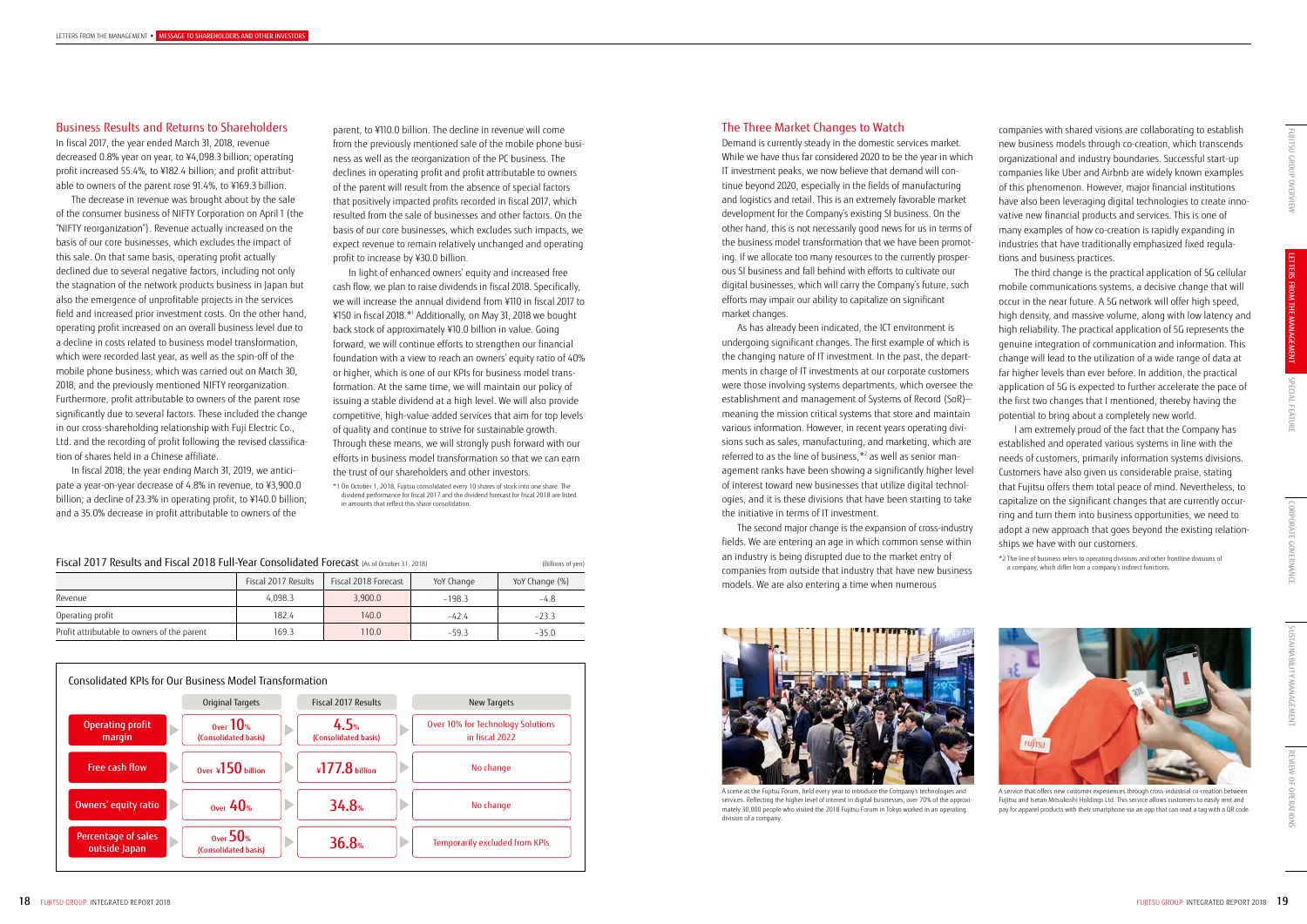SUSTAINABILITY MANAGEMENT SUSTAINABILITY MANAGEMENT

parent, to ¥110.0 billion. The decline in revenue will come from the previously mentioned sale of the mobile phone business as well as the reorganization of the PC business. The declines in operating profit and profit attributable to owners of the parent will result from the absence of special factors that positively impacted profits recorded in fiscal 2017, which resulted from the sale of businesses and other factors. On the basis of our core businesses, which excludes such impacts, we expect revenue to remain relatively unchanged and operating profit to increase by ¥30.0 billion.

In light of enhanced owners' equity and increased free cash flow, we plan to raise dividends in fiscal 2018. Specifically, we will increase the annual dividend from ¥110 in fiscal 2017 to ¥150 in fiscal 2018.\*1 Additionally, on May 31, 2018 we bought back stock of approximately ¥10.0 billion in value. Going forward, we will continue efforts to strengthen our financial foundation with a view to reach an owners' equity ratio of 40% or higher, which is one of our KPIs for business model transformation. At the same time, we will maintain our policy of issuing a stable dividend at a high level. We will also provide competitive, high-value-added services that aim for top levels of quality and continue to strive for sustainable growth. Through these means, we will strongly push forward with our efforts in business model transformation so that we can earn the trust of our shareholders and other investors.

\*1 On October 1, 2018, Fujitsu consolidated every 10 shares of stock into one share. The dividend performance for fiscal 2017 and the dividend forecast for fiscal 2018 are listed in amounts that reflect this share consolidation.

# Business Results and Returns to Shareholders

In fiscal 2017, the year ended March 31, 2018, revenue decreased 0.8% year on year, to ¥4,098.3 billion; operating profit increased 55.4%, to ¥182.4 billion; and profit attributable to owners of the parent rose 91.4%, to ¥169.3 billion.

The decrease in revenue was brought about by the sale of the consumer business of NIFTY Corporation on April 1 (the "NIFTY reorganization"). Revenue actually increased on the basis of our core businesses, which excludes the impact of this sale. On that same basis, operating profit actually declined due to several negative factors, including not only the stagnation of the network products business in Japan but also the emergence of unprofitable projects in the services field and increased prior investment costs. On the other hand, operating profit increased on an overall business level due to a decline in costs related to business model transformation, which were recorded last year, as well as the spin-off of the mobile phone business, which was carried out on March 30, 2018, and the previously mentioned NIFTY reorganization. Furthermore, profit attributable to owners of the parent rose significantly due to several factors. These included the change in our cross-shareholding relationship with Fuji Electric Co., Ltd. and the recording of profit following the revised classification of shares held in a Chinese affiliate.

In fiscal 2018, the year ending March 31, 2019, we anticipate a year-on-year decrease of 4.8% in revenue, to ¥3,900.0 billion; a decline of 23.3% in operating profit, to ¥140.0 billion; and a 35.0% decrease in profit attributable to owners of the

| Fiscal 2017 Results and Fiscal 2018 Full-Year Consolidated Forecast (As of October 31, 2018) | (Billions of yen)   |                      |            |                |
|----------------------------------------------------------------------------------------------|---------------------|----------------------|------------|----------------|
|                                                                                              | Fiscal 2017 Results | Fiscal 2018 Forecast | YoY Change | YoY Change (%) |
| Revenue                                                                                      | 4.098.3             | 3.900.0              | $-198.3$   | $-4.8$         |
| Operating profit                                                                             | 182.4               | 140.0                | $-424$     | $-23.3$        |
| Profit attributable to owners of the parent                                                  | 169.3               | 110.0                | $-59.3$    | $-35.0$        |





A service that offers new customer experiences through cross-industrial co-creation between Fujitsu and Isetan Mitsukoshi Holdings Ltd. This service allows customers to easily rent and pay for apparel products with their smartphone via an app that can read a tag with a QR code

companies with shared visions are collaborating to establish new business models through co-creation, which transcends organizational and industry boundaries. Successful start-up companies like Uber and Airbnb are widely known examples of this phenomenon. However, major financial institutions have also been leveraging digital technologies to create innovative new financial products and services. This is one of many examples of how co-creation is rapidly expanding in industries that have traditionally emphasized fixed regulations and business practices.

The third change is the practical application of 5G cellular mobile communications systems, a decisive change that will occur in the near future. A 5G network will offer high speed, high density, and massive volume, along with low latency and high reliability. The practical application of 5G represents the genuine integration of communication and information. This change will lead to the utilization of a wide range of data at far higher levels than ever before. In addition, the practical application of 5G is expected to further accelerate the pace of the first two changes that I mentioned, thereby having the potential to bring about a completely new world.

I am extremely proud of the fact that the Company has established and operated various systems in line with the needs of customers, primarily information systems divisions. Customers have also given us considerable praise, stating that Fujitsu offers them total peace of mind. Nevertheless, to capitalize on the significant changes that are currently occurring and turn them into business opportunities, we need to adopt a new approach that goes beyond the existing relationships we have with our customers.

\*2 The line of business refers to operating divisions and other frontline divisions of a company, which differ from a company's indirect functions.

### The Three Market Changes to Watch

Demand is currently steady in the domestic services market. While we have thus far considered 2020 to be the year in which IT investment peaks, we now believe that demand will continue beyond 2020, especially in the fields of manufacturing and logistics and retail. This is an extremely favorable market development for the Company's existing SI business. On the other hand, this is not necessarily good news for us in terms of the business model transformation that we have been promoting. If we allocate too many resources to the currently prosperous SI business and fall behind with efforts to cultivate our digital businesses, which will carry the Company's future, such efforts may impair our ability to capitalize on significant market changes.

As has already been indicated, the ICT environment is undergoing significant changes. The first example of which is the changing nature of IT investment. In the past, the departments in charge of IT investments at our corporate customers were those involving systems departments, which oversee the establishment and management of Systems of Record (SoR) meaning the mission critical systems that store and maintain various information. However, in recent years operating divisions such as sales, manufacturing, and marketing, which are referred to as the line of business,  $*$ <sup>2</sup> as well as senior management ranks have been showing a significantly higher level of interest toward new businesses that utilize digital technologies, and it is these divisions that have been starting to take the initiative in terms of IT investment.

The second major change is the expansion of cross-industry fields. We are entering an age in which common sense within an industry is being disrupted due to the market entry of companies from outside that industry that have new business models. We are also entering a time when numerous



A scene at the Fujitsu Forum, held every year to introduce the Company's technologies and services. Reflecting the higher level of interest in digital businesses, over 70% of the approximately 30,000 people who visited the 2018 Fujitsu Forum in Tokyo worked in an operating division of a company.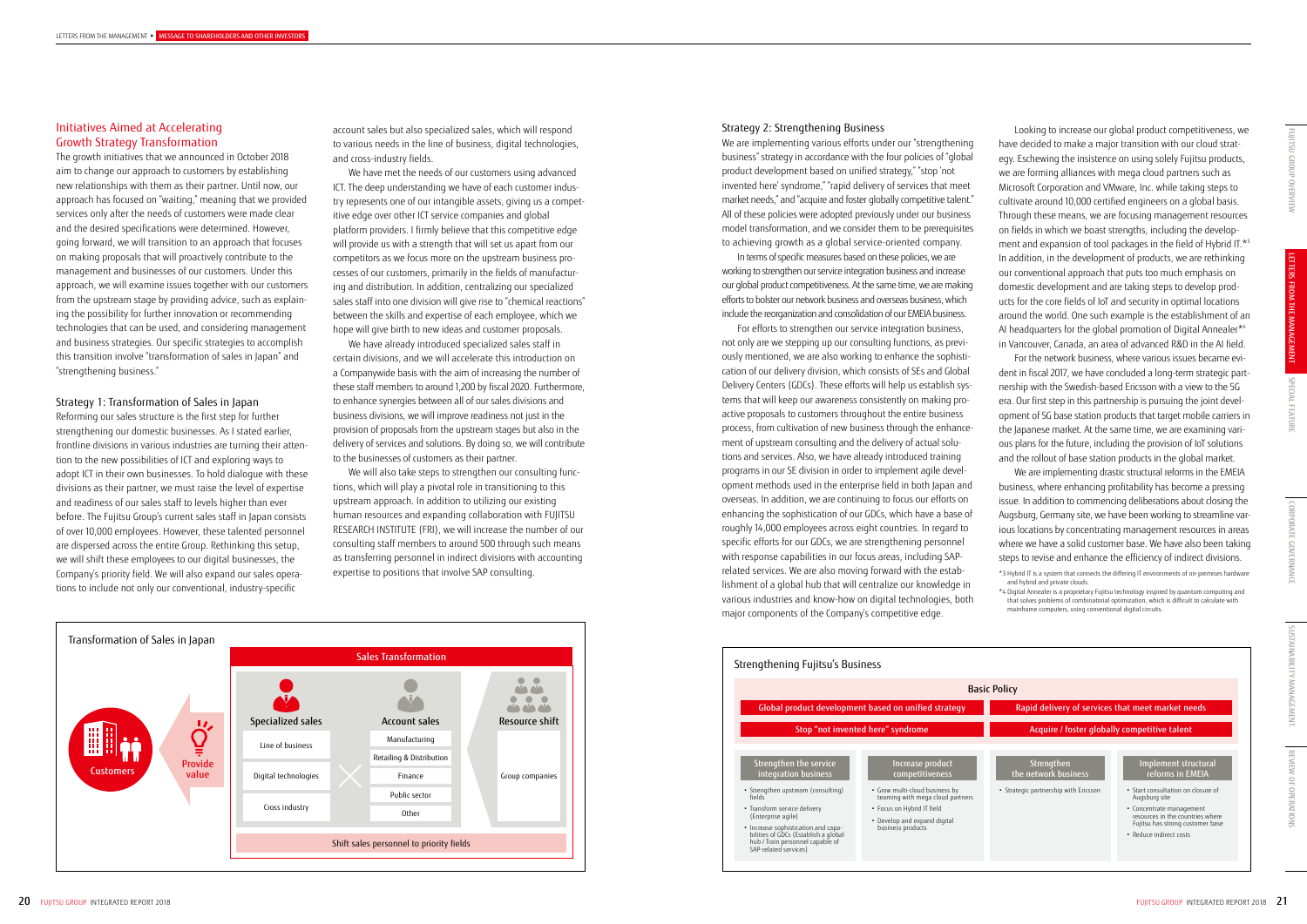REVIEW OF OPERATIONS

**OPERATIONS** 

REVIEW OF

account sales but also specialized sales, which will respond to various needs in the line of business, digital technologies, and cross-industry fields.

We have met the needs of our customers using advanced ICT. The deep understanding we have of each customer industry represents one of our intangible assets, giving us a competitive edge over other ICT service companies and global platform providers. I firmly believe that this competitive edge will provide us with a strength that will set us apart from our competitors as we focus more on the upstream business processes of our customers, primarily in the fields of manufacturing and distribution. In addition, centralizing our specialized sales staff into one division will give rise to "chemical reactions" between the skills and expertise of each employee, which we hope will give birth to new ideas and customer proposals.

We have already introduced specialized sales staff in certain divisions, and we will accelerate this introduction on a Companywide basis with the aim of increasing the number of these staff members to around 1,200 by fiscal 2020. Furthermore, to enhance synergies between all of our sales divisions and business divisions, we will improve readiness not just in the provision of proposals from the upstream stages but also in the delivery of services and solutions. By doing so, we will contribute to the businesses of customers as their partner.

We will also take steps to strengthen our consulting functions, which will play a pivotal role in transitioning to this upstream approach. In addition to utilizing our existing human resources and expanding collaboration with FUJITSU RESEARCH INSTITUTE (FRI), we will increase the number of our consulting staff members to around 500 through such means as transferring personnel in indirect divisions with accounting expertise to positions that involve SAP consulting.

Looking to increase our global product competitiveness, we have decided to make a major transition with our cloud strategy. Eschewing the insistence on using solely Fujitsu products, we are forming alliances with mega cloud partners such as Microsoft Corporation and VMware, Inc. while taking steps to cultivate around 10,000 certified engineers on a global basis. Through these means, we are focusing management resources on fields in which we boast strengths, including the development and expansion of tool packages in the field of Hybrid IT.\*3 In addition, in the development of products, we are rethinking our conventional approach that puts too much emphasis on domestic development and are taking steps to develop products for the core fields of IoT and security in optimal locations around the world. One such example is the establishment of an AI headquarters for the global promotion of Digital Annealer\*<sup>4</sup> in Vancouver, Canada, an area of advanced R&D in the AI field. For the network business, where various issues became evident in fiscal 2017, we have concluded a long-term strategic partnership with the Swedish-based Ericsson with a view to the 5G era. Our first step in this partnership is pursuing the joint development of 5G base station products that target mobile carriers in the Japanese market. At the same time, we are examining various plans for the future, including the provision of IoT solutions and the rollout of base station products in the global market. We are implementing drastic structural reforms in the EMEIA business, where enhancing profitability has become a pressing issue. In addition to commencing deliberations about closing the Augsburg, Germany site, we have been working to streamline various locations by concentrating management resources in areas where we have a solid customer base. We have also been taking steps to revise and enhance the efficiency of indirect divisions.

\*3 Hybrid IT is a system that connects the differing IT environments of on-premises hardware and hybrid and private clouds. \*4 Digital Annealer is a proprietary Fujitsu technology inspired by quantum computing and that solves problems of combinatorial optimization, which is difficult to calculate with

mainframe computers, using conventional digital circuits.

## Initiatives Aimed at Accelerating Growth Strategy Transformation

The growth initiatives that we announced in October 2018 aim to change our approach to customers by establishing new relationships with them as their partner. Until now, our approach has focused on "waiting," meaning that we provided services only after the needs of customers were made clear and the desired specifications were determined. However, going forward, we will transition to an approach that focuses on making proposals that will proactively contribute to the management and businesses of our customers. Under this approach, we will examine issues together with our customers from the upstream stage by providing advice, such as explaining the possibility for further innovation or recommending technologies that can be used, and considering management and business strategies. Our specific strategies to accomplish this transition involve "transformation of sales in Japan" and "strengthening business."

#### Strategy 1: Transformation of Sales in Japan

Reforming our sales structure is the first step for further strengthening our domestic businesses. As I stated earlier, frontline divisions in various industries are turning their attention to the new possibilities of ICT and exploring ways to adopt ICT in their own businesses. To hold dialogue with these divisions as their partner, we must raise the level of expertise and readiness of our sales staff to levels higher than ever before. The Fujitsu Group's current sales staff in Japan consists of over 10,000 employees. However, these talented personnel are dispersed across the entire Group. Rethinking this setup, we will shift these employees to our digital businesses, the Company's priority field. We will also expand our sales operations to include not only our conventional, industry-specific

#### Strategy 2: Strengthening Business

We are implementing various efforts under our "strengthening business" strategy in accordance with the four policies of "global product development based on unified strategy," "stop 'not invented here' syndrome," "rapid delivery of services that meet market needs," and "acquire and foster globally competitive talent." All of these policies were adopted previously under our business model transformation, and we consider them to be prerequisites to achieving growth as a global service-oriented company.

In terms of specific measures based on these policies, we are working to strengthen our service integration business and increase our global product competitiveness. At the same time, we are making efforts to bolster our network business and overseas business, which include the reorganization and consolidation of our EMEIA business.

For efforts to strengthen our service integration business, not only are we stepping up our consulting functions, as previously mentioned, we are also working to enhance the sophistication of our delivery division, which consists of SEs and Global Delivery Centers (GDCs). These efforts will help us establish systems that will keep our awareness consistently on making proactive proposals to customers throughout the entire business process, from cultivation of new business through the enhancement of upstream consulting and the delivery of actual solutions and services. Also, we have already introduced training programs in our SE division in order to implement agile development methods used in the enterprise field in both Japan and overseas. In addition, we are continuing to focus our efforts on enhancing the sophistication of our GDCs, which have a base of roughly 14,000 employees across eight countries. In regard to specific efforts for our GDCs, we are strengthening personnel with response capabilities in our focus areas, including SAPrelated services. We are also moving forward with the establishment of a global hub that will centralize our knowledge in various industries and know-how on digital technologies, both major components of the Company's competitive edge.





Strengthen the network business nent structural reforms in EMEIA Rapid delivery of services that meet market needs Acquire / foster globally competitive talent Basic Policy • Strategic partnership with Ericsson • Start consultation on closure of<br>Augsburg site • Concentrate management resources in the countries where Fujitsu has strong customer base • Reduce indirect costs